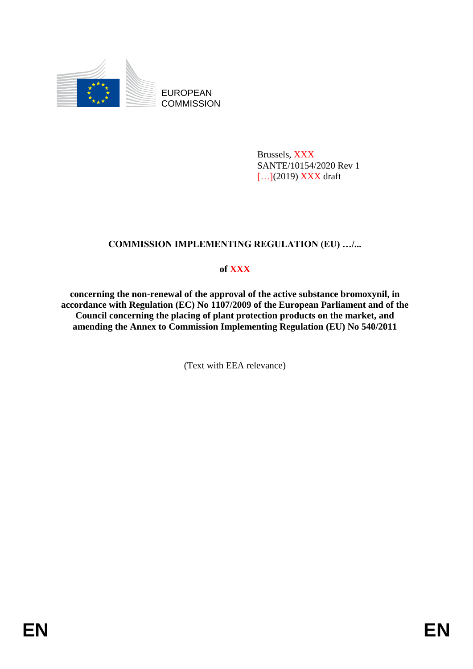

EUROPEAN **COMMISSION** 

> Brussels, XXX SANTE/10154/2020 Rev 1 [...](2019) **XXX** draft

# **COMMISSION IMPLEMENTING REGULATION (EU) …/...**

# **of XXX**

**concerning the non-renewal of the approval of the active substance bromoxynil, in accordance with Regulation (EC) No 1107/2009 of the European Parliament and of the Council concerning the placing of plant protection products on the market, and amending the Annex to Commission Implementing Regulation (EU) No 540/2011**

(Text with EEA relevance)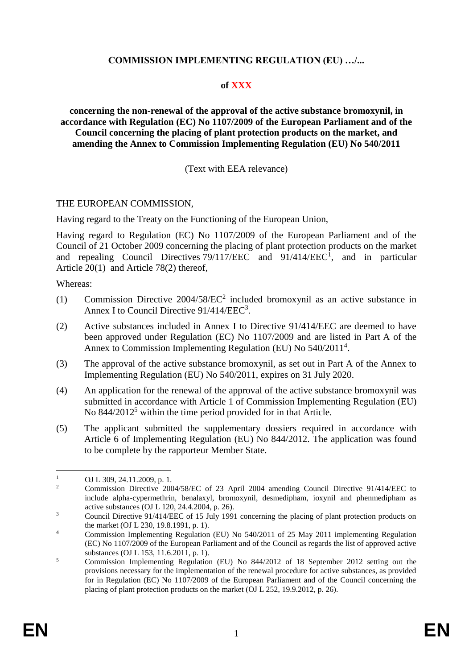## **COMMISSION IMPLEMENTING REGULATION (EU) …/...**

### **of XXX**

**concerning the non-renewal of the approval of the active substance bromoxynil, in accordance with Regulation (EC) No 1107/2009 of the European Parliament and of the Council concerning the placing of plant protection products on the market, and amending the Annex to Commission Implementing Regulation (EU) No 540/2011**

### (Text with EEA relevance)

#### THE EUROPEAN COMMISSION,

Having regard to the Treaty on the Functioning of the European Union,

Having regard to Regulation (EC) No 1107/2009 of the European Parliament and of the Council of 21 October 2009 concerning the placing of plant protection products on the market and repealing Council Directives  $79/117/EEC$  and  $91/414/EEC<sup>1</sup>$ , and in particular Article 20(1) and Article 78(2) thereof,

Whereas:

- (1) Commission Directive 2004/58/EC<sup>2</sup> included bromoxynil as an active substance in Annex I to Council Directive 91/414/EEC<sup>3</sup>.
- (2) Active substances included in Annex I to Directive 91/414/EEC are deemed to have been approved under Regulation (EC) No 1107/2009 and are listed in Part A of the Annex to Commission Implementing Regulation (EU) No 540/2011<sup>4</sup>.
- (3) The approval of the active substance bromoxynil, as set out in Part A of the Annex to Implementing Regulation (EU) No 540/2011, expires on 31 July 2020.
- (4) An application for the renewal of the approval of the active substance bromoxynil was submitted in accordance with Article 1 of Commission Implementing Regulation (EU) No 844/2012<sup>5</sup> within the time period provided for in that Article.
- (5) The applicant submitted the supplementary dossiers required in accordance with Article 6 of Implementing Regulation (EU) No 844/2012. The application was found to be complete by the rapporteur Member State.

<sup>&</sup>lt;u>.</u>  $\frac{1}{2}$  OJ L 309, 24.11.2009, p. 1.

<sup>2</sup> Commission Directive 2004/58/EC of 23 April 2004 amending Council Directive 91/414/EEC to include alpha-cypermethrin, benalaxyl, bromoxynil, desmedipham, ioxynil and phenmedipham as active substances (OJ L 120, 24.4.2004, p. 26).

<sup>&</sup>lt;sup>3</sup> Council Directive 91/414/EEC of 15 July 1991 concerning the placing of plant protection products on the market (OJ L 230, 19.8.1991, p. 1).

<sup>&</sup>lt;sup>4</sup> Commission Implementing Regulation (EU) No 540/2011 of 25 May 2011 implementing Regulation (EC) No 1107/2009 of the European Parliament and of the Council as regards the list of approved active substances (OJ L 153, 11.6.2011, p. 1).

<sup>5</sup> Commission Implementing Regulation (EU) No 844/2012 of 18 September 2012 setting out the provisions necessary for the implementation of the renewal procedure for active substances, as provided for in Regulation (EC) No 1107/2009 of the European Parliament and of the Council concerning the placing of plant protection products on the market (OJ L 252, 19.9.2012, p. 26).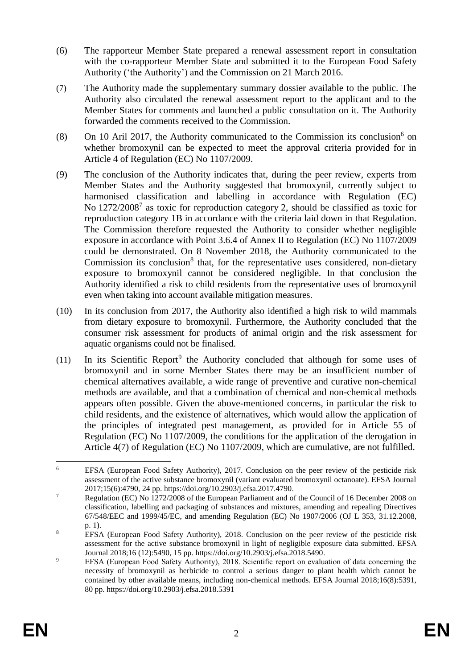- (6) The rapporteur Member State prepared a renewal assessment report in consultation with the co-rapporteur Member State and submitted it to the European Food Safety Authority ('the Authority') and the Commission on 21 March 2016.
- (7) The Authority made the supplementary summary dossier available to the public. The Authority also circulated the renewal assessment report to the applicant and to the Member States for comments and launched a public consultation on it. The Authority forwarded the comments received to the Commission.
- (8) On 10 Aril 2017, the Authority communicated to the Commission its conclusion<sup>6</sup> on whether bromoxynil can be expected to meet the approval criteria provided for in Article 4 of Regulation (EC) No 1107/2009.
- (9) The conclusion of the Authority indicates that, during the peer review, experts from Member States and the Authority suggested that bromoxynil, currently subject to harmonised classification and labelling in accordance with Regulation (EC) No 1272/2008<sup>7</sup> as toxic for reproduction category 2, should be classified as toxic for reproduction category 1B in accordance with the criteria laid down in that Regulation. The Commission therefore requested the Authority to consider whether negligible exposure in accordance with Point 3.6.4 of Annex II to Regulation (EC) No 1107/2009 could be demonstrated. On 8 November 2018, the Authority communicated to the Commission its conclusion<sup>8</sup> that, for the representative uses considered, non-dietary exposure to bromoxynil cannot be considered negligible. In that conclusion the Authority identified a risk to child residents from the representative uses of bromoxynil even when taking into account available mitigation measures.
- (10) In its conclusion from 2017, the Authority also identified a high risk to wild mammals from dietary exposure to bromoxynil. Furthermore, the Authority concluded that the consumer risk assessment for products of animal origin and the risk assessment for aquatic organisms could not be finalised.
- (11) In its Scientific Report<sup>9</sup> the Authority concluded that although for some uses of bromoxynil and in some Member States there may be an insufficient number of chemical alternatives available, a wide range of preventive and curative non-chemical methods are available, and that a combination of chemical and non-chemical methods appears often possible. Given the above-mentioned concerns, in particular the risk to child residents, and the existence of alternatives, which would allow the application of the principles of integrated pest management, as provided for in Article 55 of Regulation (EC) No 1107/2009, the conditions for the application of the derogation in Article 4(7) of Regulation (EC) No 1107/2009, which are cumulative, are not fulfilled.

 $6\overline{6}$ <sup>6</sup> EFSA (European Food Safety Authority), 2017. Conclusion on the peer review of the pesticide risk assessment of the active substance bromoxynil (variant evaluated bromoxynil octanoate). EFSA Journal 2017;15(6):4790, 24 pp. [https://doi.org/10.2903/j.efsa.2017.4790.](https://doi.org/10.2903/j.efsa.2017.4790)

<sup>&</sup>lt;sup>7</sup> Regulation (EC) No 1272/2008 of the European Parliament and of the Council of 16 December 2008 on classification, labelling and packaging of substances and mixtures, amending and repealing Directives 67/548/EEC and 1999/45/EC, and amending Regulation (EC) No 1907/2006 (OJ L 353, 31.12.2008, p. 1).

<sup>&</sup>lt;sup>8</sup> EFSA (European Food Safety Authority), 2018. Conclusion on the peer review of the pesticide risk assessment for the active substance bromoxynil in light of negligible exposure data submitted. EFSA Journal 2018;16 (12):5490, 15 pp. [https://doi.org/10.2903/j.efsa.2018.5490.](https://doi.org/10.2903/j.efsa.2018.5490)

<sup>&</sup>lt;sup>9</sup> EFSA (European Food Safety Authority), 2018. Scientific report on evaluation of data concerning the necessity of bromoxynil as herbicide to control a serious danger to plant health which cannot be contained by other available means, including non-chemical methods. EFSA Journal 2018;16(8):5391, 80 pp. https://doi.org/10.2903/j.efsa.2018.5391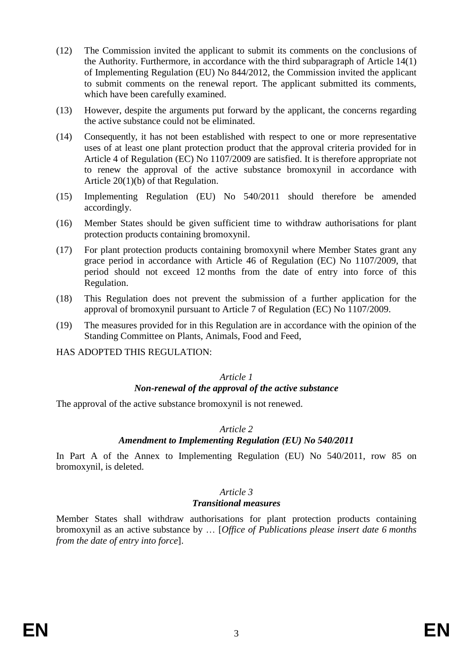- (12) The Commission invited the applicant to submit its comments on the conclusions of the Authority. Furthermore, in accordance with the third subparagraph of Article 14(1) of Implementing Regulation (EU) No 844/2012, the Commission invited the applicant to submit comments on the renewal report. The applicant submitted its comments, which have been carefully examined.
- (13) However, despite the arguments put forward by the applicant, the concerns regarding the active substance could not be eliminated.
- (14) Consequently, it has not been established with respect to one or more representative uses of at least one plant protection product that the approval criteria provided for in Article 4 of Regulation (EC) No 1107/2009 are satisfied. It is therefore appropriate not to renew the approval of the active substance bromoxynil in accordance with Article 20(1)(b) of that Regulation.
- (15) Implementing Regulation (EU) No 540/2011 should therefore be amended accordingly.
- (16) Member States should be given sufficient time to withdraw authorisations for plant protection products containing bromoxynil.
- (17) For plant protection products containing bromoxynil where Member States grant any grace period in accordance with Article 46 of Regulation (EC) No 1107/2009, that period should not exceed 12 months from the date of entry into force of this Regulation.
- (18) This Regulation does not prevent the submission of a further application for the approval of bromoxynil pursuant to Article 7 of Regulation (EC) No 1107/2009.
- (19) The measures provided for in this Regulation are in accordance with the opinion of the Standing Committee on Plants, Animals, Food and Feed,
- HAS ADOPTED THIS REGULATION:

#### *Article 1 Non-renewal of the approval of the active substance*

The approval of the active substance bromoxynil is not renewed.

### *Article 2*

### *Amendment to Implementing Regulation (EU) No 540/2011*

In Part A of the Annex to Implementing Regulation (EU) No 540/2011, row 85 on bromoxynil, is deleted.

#### *Article 3*

### *Transitional measures*

Member States shall withdraw authorisations for plant protection products containing bromoxynil as an active substance by … [*Office of Publications please insert date 6 months from the date of entry into force*].